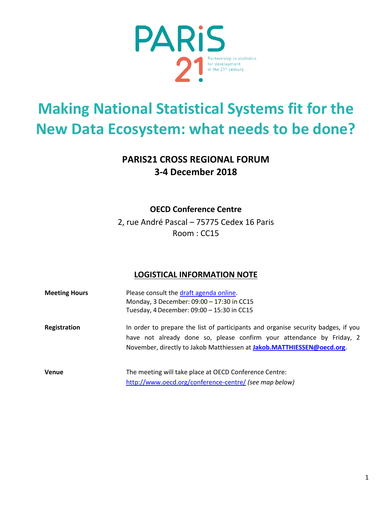

# **Making National Statistical Systems fit for the New Data Ecosystem: what needs to be done?**

# **PARIS21 CROSS REGIONAL FORUM 3-4 December 2018**

## **OECD Conference Centre**

2, rue André Pascal – 75775 Cedex 16 Paris Room : CC15

# **LOGISTICAL INFORMATION NOTE**

| <b>Meeting Hours</b> | Please consult the draft agenda online.<br>Monday, 3 December: 09:00 - 17:30 in CC15<br>Tuesday, 4 December: 09:00 - 15:30 in CC15                                                                                                   |
|----------------------|--------------------------------------------------------------------------------------------------------------------------------------------------------------------------------------------------------------------------------------|
| Registration         | In order to prepare the list of participants and organise security badges, if you<br>have not already done so, please confirm your attendance by Friday, 2<br>November, directly to Jakob Matthiessen at Jakob.MATTHIESSEN@oecd.org. |
| <b>Venue</b>         | The meeting will take place at OECD Conference Centre:<br>http://www.oecd.org/conference-centre/ (see map below)                                                                                                                     |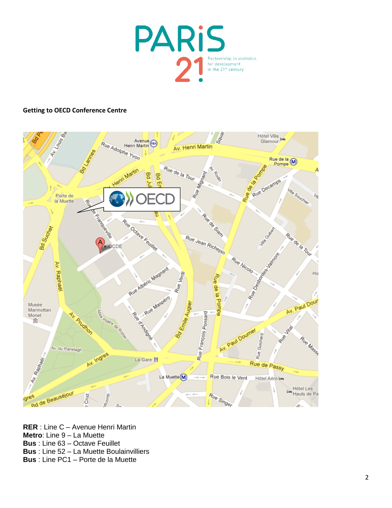

#### **Getting to OECD Conference Centre**



**RER** : Line C – Avenue Henri Martin **Metro**: Line 9 – La Muette **Bus** : Line 63 – Octave Feuillet **Bus** : Line 52 – La Muette Boulainvilliers **Bus** : Line PC1 – Porte de la Muette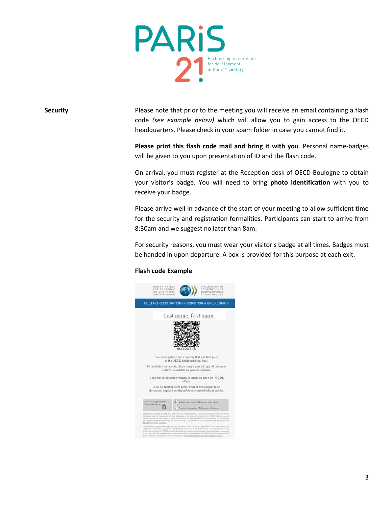

**Security** Please note that prior to the meeting you will receive an email containing a flash code *(see example below)* which will allow you to gain access to the OECD headquarters. Please check in your spam folder in case you cannot find it.

> **Please print this flash code mail and bring it with you**. Personal name-badges will be given to you upon presentation of ID and the flash code.

> On arrival, you must register at the Reception desk of OECD Boulogne to obtain your visitor's badge. You will need to bring **photo identification** with you to receive your badge.

> Please arrive well in advance of the start of your meeting to allow sufficient time for the security and registration formalities. Participants can start to arrive from 8:30am and we suggest no later than 8am.

> For security reasons, you must wear your visitor's badge at all times. Badges must be handed in upon departure. A box is provided for this purpose at each exit.

#### **Flash code Example**